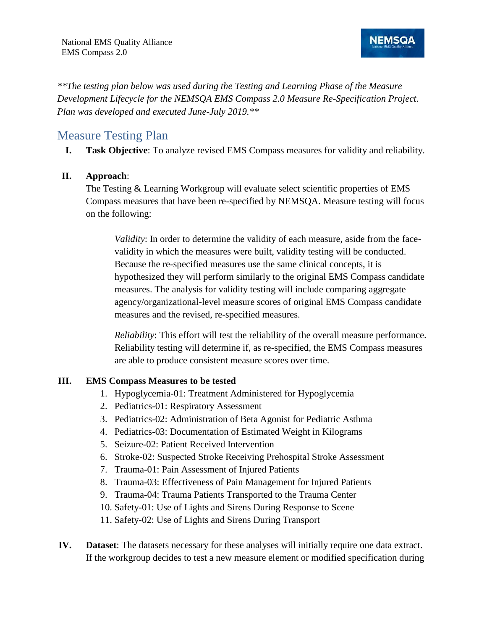

*\*\*The testing plan below was used during the Testing and Learning Phase of the Measure Development Lifecycle for the NEMSQA EMS Compass 2.0 Measure Re-Specification Project. Plan was developed and executed June-July 2019.\*\** 

# Measure Testing Plan

**I. Task Objective**: To analyze revised EMS Compass measures for validity and reliability.

#### **II. Approach**:

The Testing & Learning Workgroup will evaluate select scientific properties of EMS Compass measures that have been re-specified by NEMSQA. Measure testing will focus on the following:

*Validity*: In order to determine the validity of each measure, aside from the facevalidity in which the measures were built, validity testing will be conducted. Because the re-specified measures use the same clinical concepts, it is hypothesized they will perform similarly to the original EMS Compass candidate measures. The analysis for validity testing will include comparing aggregate agency/organizational-level measure scores of original EMS Compass candidate measures and the revised, re-specified measures.

*Reliability*: This effort will test the reliability of the overall measure performance. Reliability testing will determine if, as re-specified, the EMS Compass measures are able to produce consistent measure scores over time.

#### **III. EMS Compass Measures to be tested**

- 1. Hypoglycemia-01: Treatment Administered for Hypoglycemia
- 2. Pediatrics-01: Respiratory Assessment
- 3. Pediatrics-02: Administration of Beta Agonist for Pediatric Asthma
- 4. Pediatrics-03: Documentation of Estimated Weight in Kilograms
- 5. Seizure-02: Patient Received Intervention
- 6. Stroke-02: Suspected Stroke Receiving Prehospital Stroke Assessment
- 7. Trauma-01: Pain Assessment of Injured Patients
- 8. Trauma-03: Effectiveness of Pain Management for Injured Patients
- 9. Trauma-04: Trauma Patients Transported to the Trauma Center
- 10. Safety-01: Use of Lights and Sirens During Response to Scene
- 11. Safety-02: Use of Lights and Sirens During Transport
- **IV. Dataset**: The datasets necessary for these analyses will initially require one data extract. If the workgroup decides to test a new measure element or modified specification during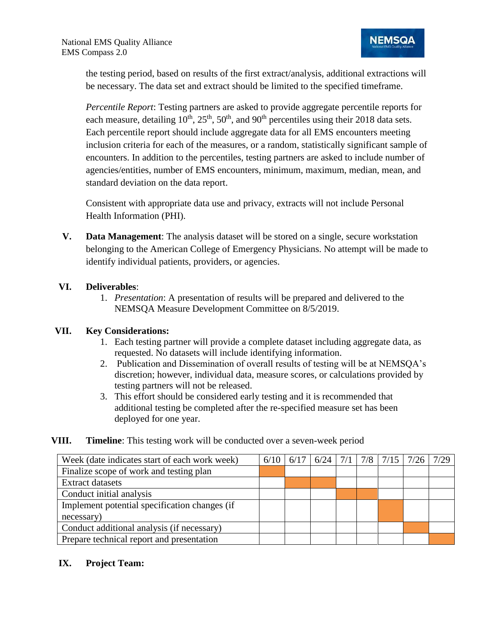the testing period, based on results of the first extract/analysis, additional extractions will be necessary. The data set and extract should be limited to the specified timeframe.

*Percentile Report*: Testing partners are asked to provide aggregate percentile reports for each measure, detailing  $10^{th}$ ,  $25^{th}$ ,  $50^{th}$ , and  $90^{th}$  percentiles using their 2018 data sets. Each percentile report should include aggregate data for all EMS encounters meeting inclusion criteria for each of the measures, or a random, statistically significant sample of encounters. In addition to the percentiles, testing partners are asked to include number of agencies/entities, number of EMS encounters, minimum, maximum, median, mean, and standard deviation on the data report.

Consistent with appropriate data use and privacy, extracts will not include Personal Health Information (PHI).

**V. Data Management**: The analysis dataset will be stored on a single, secure workstation belonging to the American College of Emergency Physicians. No attempt will be made to identify individual patients, providers, or agencies.

#### **VI. Deliverables**:

1. *Presentation*: A presentation of results will be prepared and delivered to the NEMSQA Measure Development Committee on 8/5/2019.

#### **VII. Key Considerations:**

- 1. Each testing partner will provide a complete dataset including aggregate data, as requested. No datasets will include identifying information.
- 2. Publication and Dissemination of overall results of testing will be at NEMSQA's discretion; however, individual data, measure scores, or calculations provided by testing partners will not be released.
- 3. This effort should be considered early testing and it is recommended that additional testing be completed after the re-specified measure set has been deployed for one year.

#### **VIII. Timeline**: This testing work will be conducted over a seven-week period

| Week (date indicates start of each work week) | 6/10 | 6/17 |  | $6/24$   $7/1$   $7/8$   $7/15$   $7/26$ | 7/29 |
|-----------------------------------------------|------|------|--|------------------------------------------|------|
| Finalize scope of work and testing plan       |      |      |  |                                          |      |
| <b>Extract datasets</b>                       |      |      |  |                                          |      |
| Conduct initial analysis                      |      |      |  |                                          |      |
| Implement potential specification changes (if |      |      |  |                                          |      |
| necessary)                                    |      |      |  |                                          |      |
| Conduct additional analysis (if necessary)    |      |      |  |                                          |      |
| Prepare technical report and presentation     |      |      |  |                                          |      |

#### **IX. Project Team:**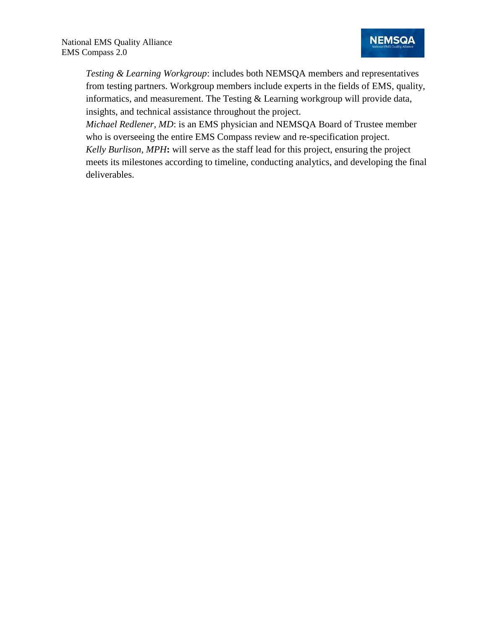*Testing & Learning Workgroup*: includes both NEMSQA members and representatives from testing partners. Workgroup members include experts in the fields of EMS, quality, informatics, and measurement. The Testing  $&$  Learning workgroup will provide data, insights, and technical assistance throughout the project.

*Michael Redlener, MD*: is an EMS physician and NEMSQA Board of Trustee member who is overseeing the entire EMS Compass review and re-specification project. *Kelly Burlison, MPH***:** will serve as the staff lead for this project, ensuring the project meets its milestones according to timeline, conducting analytics, and developing the final deliverables.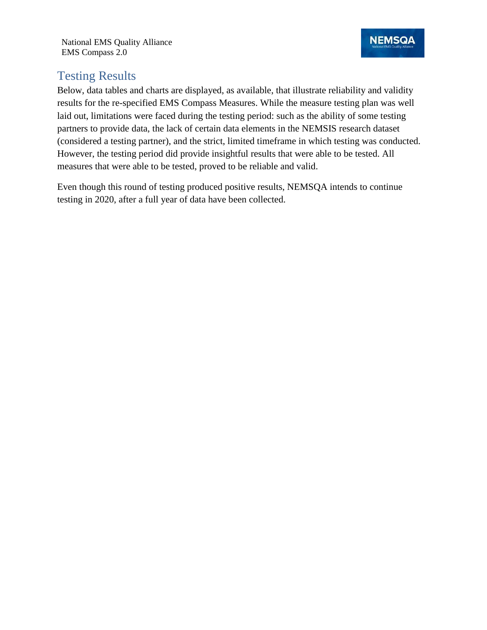National EMS Quality Alliance EMS Compass 2.0

# Testing Results

Below, data tables and charts are displayed, as available, that illustrate reliability and validity results for the re-specified EMS Compass Measures. While the measure testing plan was well laid out, limitations were faced during the testing period: such as the ability of some testing partners to provide data, the lack of certain data elements in the NEMSIS research dataset (considered a testing partner), and the strict, limited timeframe in which testing was conducted. However, the testing period did provide insightful results that were able to be tested. All measures that were able to be tested, proved to be reliable and valid.

Even though this round of testing produced positive results, NEMSQA intends to continue testing in 2020, after a full year of data have been collected.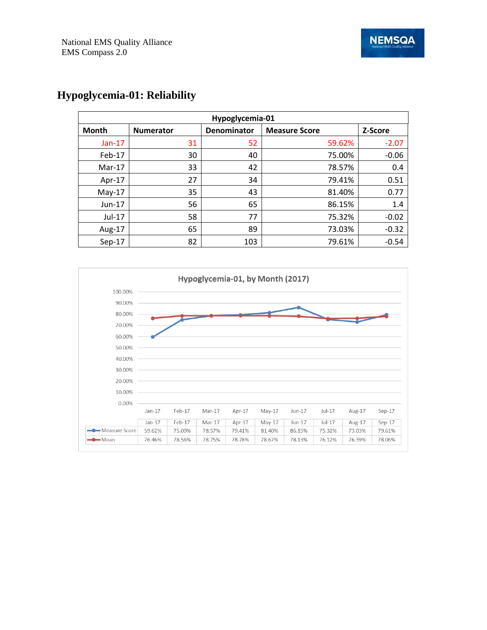| Hypoglycemia-01 |                  |             |                      |         |  |  |  |
|-----------------|------------------|-------------|----------------------|---------|--|--|--|
| <b>Month</b>    | <b>Numerator</b> | Denominator | <b>Measure Score</b> | Z-Score |  |  |  |
| $Jan-17$        | 31               | 52          | 59.62%               | $-2.07$ |  |  |  |
| Feb-17          | 30               | 40          | 75.00%               | $-0.06$ |  |  |  |
| $Mar-17$        | 33               | 42          | 78.57%               | 0.4     |  |  |  |
| Apr-17          | 27               | 34          | 79.41%               | 0.51    |  |  |  |
| $May-17$        | 35               | 43          | 81.40%               | 0.77    |  |  |  |
| $Jun-17$        | 56               | 65          | 86.15%               | 1.4     |  |  |  |
| Jul-17          | 58               | 77          | 75.32%               | $-0.02$ |  |  |  |
| Aug-17          | 65               | 89          | 73.03%               | $-0.32$ |  |  |  |
| $Sep-17$        | 82               | 103         | 79.61%               | $-0.54$ |  |  |  |

# **Hypoglycemia-01: Reliability**

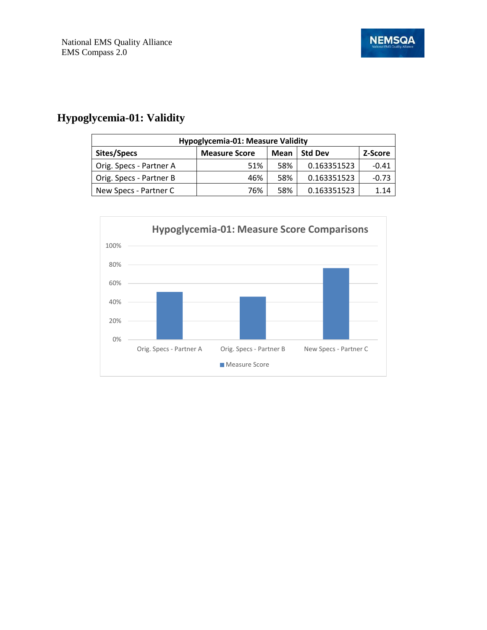# **Hypoglycemia-01: Validity**

| Hypoglycemia-01: Measure Validity                                        |     |     |             |         |  |  |
|--------------------------------------------------------------------------|-----|-----|-------------|---------|--|--|
| Sites/Specs<br><b>Std Dev</b><br><b>Measure Score</b><br>Mean<br>Z-Score |     |     |             |         |  |  |
| Orig. Specs - Partner A                                                  | 51% | 58% | 0.163351523 | $-0.41$ |  |  |
| Orig. Specs - Partner B                                                  | 46% | 58% | 0.163351523 | $-0.73$ |  |  |
| New Specs - Partner C                                                    | 76% | 58% | 0.163351523 | 1.14    |  |  |

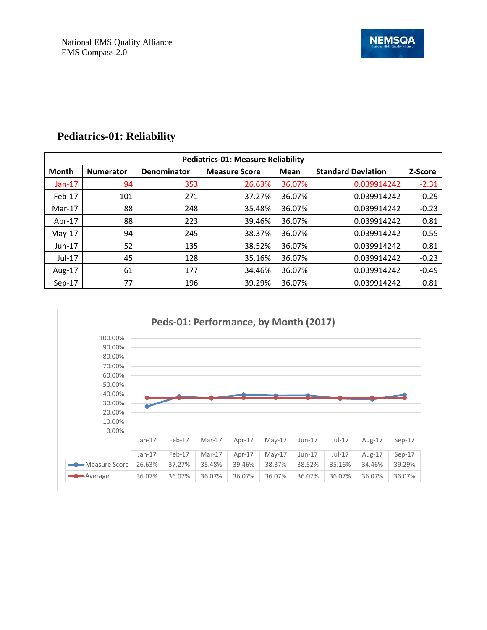| <b>Pediatrics-01: Measure Reliability</b> |                  |                    |                      |             |                           |         |  |  |
|-------------------------------------------|------------------|--------------------|----------------------|-------------|---------------------------|---------|--|--|
| <b>Month</b>                              | <b>Numerator</b> | <b>Denominator</b> | <b>Measure Score</b> | <b>Mean</b> | <b>Standard Deviation</b> | Z-Score |  |  |
| $Jan-17$                                  | 94               | 353                | 26.63%               | 36.07%      | 0.039914242               | $-2.31$ |  |  |
| Feb-17                                    | 101              | 271                | 37.27%               | 36.07%      | 0.039914242               | 0.29    |  |  |
| $Mar-17$                                  | 88               | 248                | 35.48%               | 36.07%      | 0.039914242               | $-0.23$ |  |  |
| Apr-17                                    | 88               | 223                | 39.46%               | 36.07%      | 0.039914242               | 0.81    |  |  |
| $May-17$                                  | 94               | 245                | 38.37%               | 36.07%      | 0.039914242               | 0.55    |  |  |
| $Jun-17$                                  | 52               | 135                | 38.52%               | 36.07%      | 0.039914242               | 0.81    |  |  |
| Jul-17                                    | 45               | 128                | 35.16%               | 36.07%      | 0.039914242               | $-0.23$ |  |  |
| Aug- $17$                                 | 61               | 177                | 34.46%               | 36.07%      | 0.039914242               | $-0.49$ |  |  |
| $Sep-17$                                  | 77               | 196                | 39.29%               | 36.07%      | 0.039914242               | 0.81    |  |  |

# **Pediatrics-01: Reliability**

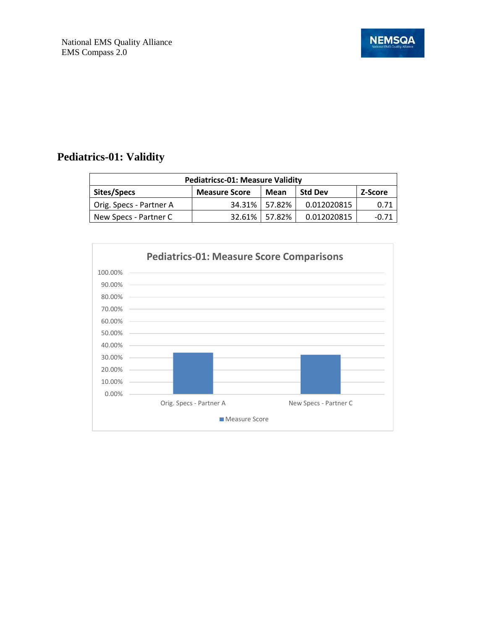# **Pediatrics-01: Validity**

| <b>Pediatricsc-01: Measure Validity</b>                                  |        |                 |             |         |  |  |
|--------------------------------------------------------------------------|--------|-----------------|-------------|---------|--|--|
| Sites/Specs<br><b>Std Dev</b><br><b>Measure Score</b><br>Mean<br>Z-Score |        |                 |             |         |  |  |
| Orig. Specs - Partner A                                                  |        | 34.31%   57.82% | 0.012020815 | 0.71    |  |  |
| New Specs - Partner C                                                    | 32.61% | 57.82%          | 0.012020815 | $-0.71$ |  |  |

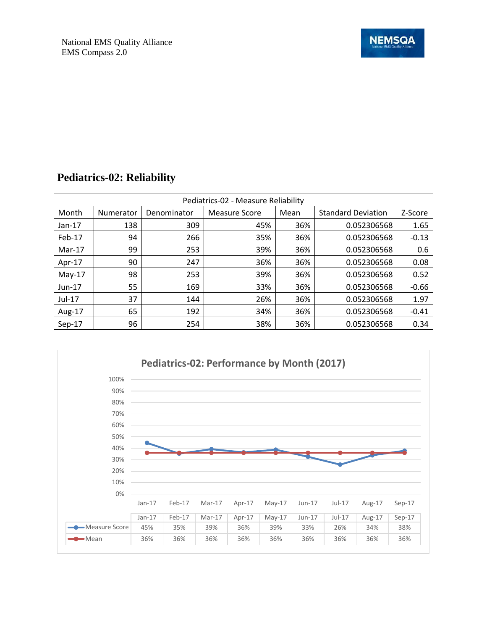| Pediatrics-02 - Measure Reliability |           |             |                      |      |                           |         |  |
|-------------------------------------|-----------|-------------|----------------------|------|---------------------------|---------|--|
| Month                               | Numerator | Denominator | <b>Measure Score</b> | Mean | <b>Standard Deviation</b> | Z-Score |  |
| $Jan-17$                            | 138       | 309         | 45%                  | 36%  | 0.052306568               | 1.65    |  |
| Feb-17                              | 94        | 266         | 35%                  | 36%  | 0.052306568               | $-0.13$ |  |
| $Mar-17$                            | 99        | 253         | 39%                  | 36%  | 0.052306568               | 0.6     |  |
| Apr-17                              | 90        | 247         | 36%                  | 36%  | 0.052306568               | 0.08    |  |
| $May-17$                            | 98        | 253         | 39%                  | 36%  | 0.052306568               | 0.52    |  |
| $Jun-17$                            | 55        | 169         | 33%                  | 36%  | 0.052306568               | $-0.66$ |  |
| Jul-17                              | 37        | 144         | 26%                  | 36%  | 0.052306568               | 1.97    |  |
| Aug-17                              | 65        | 192         | 34%                  | 36%  | 0.052306568               | $-0.41$ |  |
| $Sep-17$                            | 96        | 254         | 38%                  | 36%  | 0.052306568               | 0.34    |  |

#### **Pediatrics-02: Reliability**

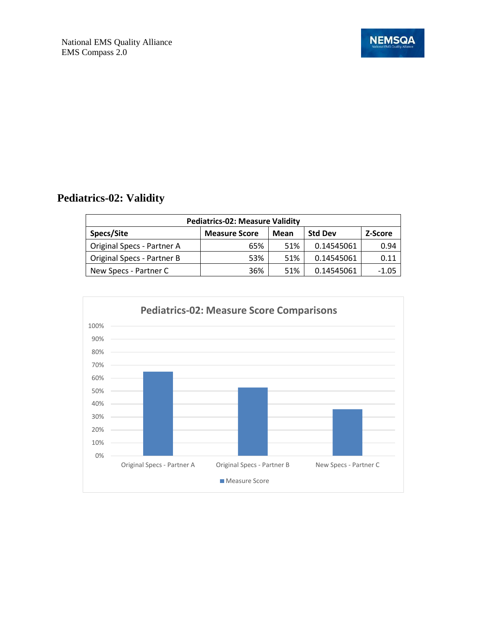

# **Pediatrics-02: Validity**

| <b>Pediatrics-02: Measure Validity</b> |                      |      |                |                |  |  |
|----------------------------------------|----------------------|------|----------------|----------------|--|--|
| Specs/Site                             | <b>Measure Score</b> | Mean | <b>Std Dev</b> | <b>Z-Score</b> |  |  |
| Original Specs - Partner A             | 65%                  | 51%  | 0.14545061     | 0.94           |  |  |
| Original Specs - Partner B             | 53%                  | 51%  | 0.14545061     | 0.11           |  |  |
| New Specs - Partner C                  | 36%                  | 51%  | 0.14545061     | -1.05          |  |  |

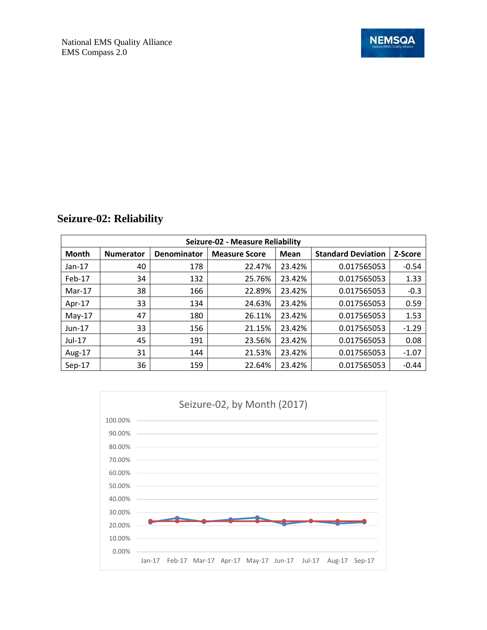| <b>Seizure-02: Reliability</b> |  |  |
|--------------------------------|--|--|
|--------------------------------|--|--|

| Seizure-02 - Measure Reliability |                  |             |                      |             |                           |         |  |
|----------------------------------|------------------|-------------|----------------------|-------------|---------------------------|---------|--|
| <b>Month</b>                     | <b>Numerator</b> | Denominator | <b>Measure Score</b> | <b>Mean</b> | <b>Standard Deviation</b> | Z-Score |  |
| $Jan-17$                         | 40               | 178         | 22.47%               | 23.42%      | 0.017565053               | $-0.54$ |  |
| Feb-17                           | 34               | 132         | 25.76%               | 23.42%      | 0.017565053               | 1.33    |  |
| $Mar-17$                         | 38               | 166         | 22.89%               | 23.42%      | 0.017565053               | $-0.3$  |  |
| Apr-17                           | 33               | 134         | 24.63%               | 23.42%      | 0.017565053               | 0.59    |  |
| $May-17$                         | 47               | 180         | 26.11%               | 23.42%      | 0.017565053               | 1.53    |  |
| $Jun-17$                         | 33               | 156         | 21.15%               | 23.42%      | 0.017565053               | $-1.29$ |  |
| Jul-17                           | 45               | 191         | 23.56%               | 23.42%      | 0.017565053               | 0.08    |  |
| Aug-17                           | 31               | 144         | 21.53%               | 23.42%      | 0.017565053               | $-1.07$ |  |
| $Sep-17$                         | 36               | 159         | 22.64%               | 23.42%      | 0.017565053               | $-0.44$ |  |

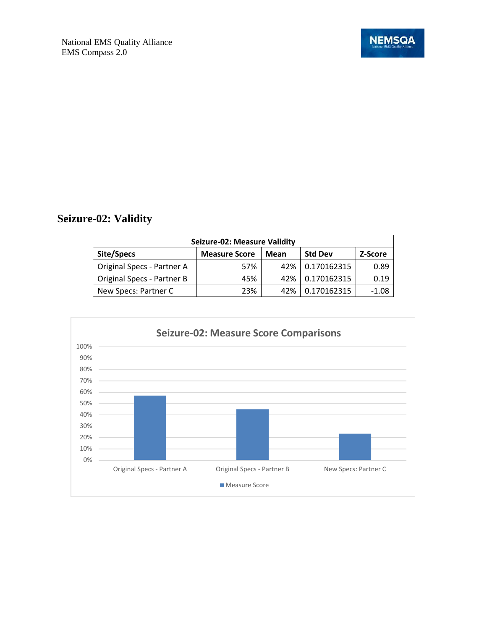

# **Seizure-02: Validity**

| <b>Seizure-02: Measure Validity</b> |                      |      |                |         |  |  |
|-------------------------------------|----------------------|------|----------------|---------|--|--|
| Site/Specs                          | <b>Measure Score</b> | Mean | <b>Std Dev</b> | Z-Score |  |  |
| Original Specs - Partner A          | 57%                  | 42%  | 0.170162315    | 0.89    |  |  |
| Original Specs - Partner B          | 45%                  | 42%  | 0.170162315    | 0.19    |  |  |
| New Specs: Partner C                | 23%                  | 42%  | 0.170162315    | $-1.08$ |  |  |

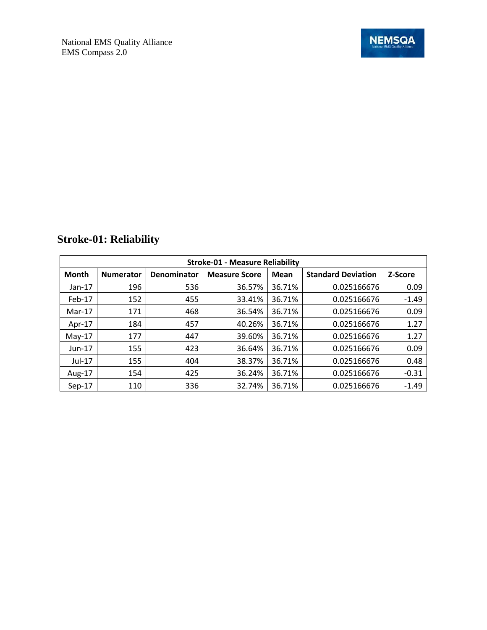| <b>Stroke-01 - Measure Reliability</b> |                  |             |                      |        |                           |         |  |
|----------------------------------------|------------------|-------------|----------------------|--------|---------------------------|---------|--|
| <b>Month</b>                           | <b>Numerator</b> | Denominator | <b>Measure Score</b> | Mean   | <b>Standard Deviation</b> | Z-Score |  |
| $Jan-17$                               | 196              | 536         | 36.57%               | 36.71% | 0.025166676               | 0.09    |  |
| Feb-17                                 | 152              | 455         | 33.41%               | 36.71% | 0.025166676               | $-1.49$ |  |
| Mar-17                                 | 171              | 468         | 36.54%               | 36.71% | 0.025166676               | 0.09    |  |
| Apr-17                                 | 184              | 457         | 40.26%               | 36.71% | 0.025166676               | 1.27    |  |
| $May-17$                               | 177              | 447         | 39.60%               | 36.71% | 0.025166676               | 1.27    |  |
| Jun-17                                 | 155              | 423         | 36.64%               | 36.71% | 0.025166676               | 0.09    |  |
| $Jul-17$                               | 155              | 404         | 38.37%               | 36.71% | 0.025166676               | 0.48    |  |
| Aug-17                                 | 154              | 425         | 36.24%               | 36.71% | 0.025166676               | $-0.31$ |  |
| Sep-17                                 | 110              | 336         | 32.74%               | 36.71% | 0.025166676               | $-1.49$ |  |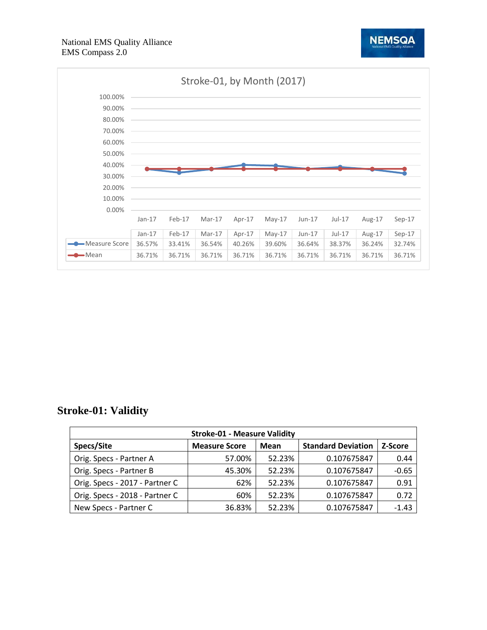



#### **Stroke-01: Validity**

| <b>Stroke-01 - Measure Validity</b> |                      |        |                           |         |  |  |
|-------------------------------------|----------------------|--------|---------------------------|---------|--|--|
| Specs/Site                          | <b>Measure Score</b> | Mean   | <b>Standard Deviation</b> | Z-Score |  |  |
| Orig. Specs - Partner A             | 57.00%               | 52.23% | 0.107675847               | 0.44    |  |  |
| Orig. Specs - Partner B             | 45.30%               | 52.23% | 0.107675847               | $-0.65$ |  |  |
| Orig. Specs - 2017 - Partner C      | 62%                  | 52.23% | 0.107675847               | 0.91    |  |  |
| Orig. Specs - 2018 - Partner C      | 60%                  | 52.23% | 0.107675847               | 0.72    |  |  |
| New Specs - Partner C               | 36.83%               | 52.23% | 0.107675847               | $-1.43$ |  |  |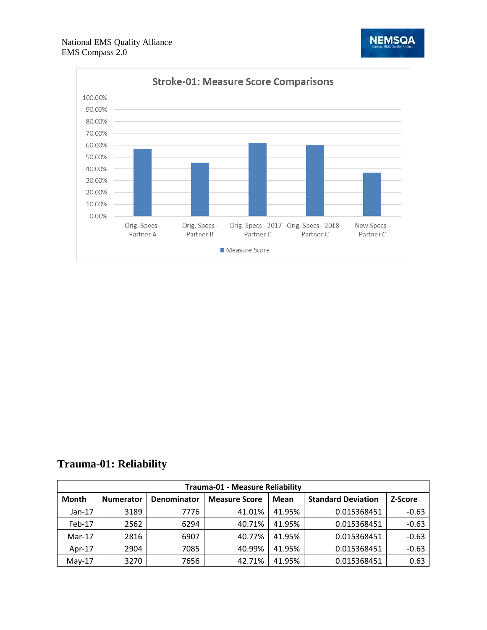

**NEMSQA** 

# **Trauma-01: Reliability**

| Trauma-01 - Measure Reliability |                                                                 |      |        |        |                           |         |  |
|---------------------------------|-----------------------------------------------------------------|------|--------|--------|---------------------------|---------|--|
| <b>Month</b>                    | Denominator<br><b>Measure Score</b><br>Mean<br><b>Numerator</b> |      |        |        | <b>Standard Deviation</b> | Z-Score |  |
| $Jan-17$                        | 3189                                                            | 7776 | 41.01% | 41.95% | 0.015368451               | $-0.63$ |  |
| Feb-17                          | 2562                                                            | 6294 | 40.71% | 41.95% | 0.015368451               | $-0.63$ |  |
| $Mar-17$                        | 2816                                                            | 6907 | 40.77% | 41.95% | 0.015368451               | $-0.63$ |  |
| Apr- $17$                       | 2904                                                            | 7085 | 40.99% | 41.95% | 0.015368451               | $-0.63$ |  |
| $May-17$                        | 3270                                                            | 7656 | 42.71% | 41.95% | 0.015368451               | 0.63    |  |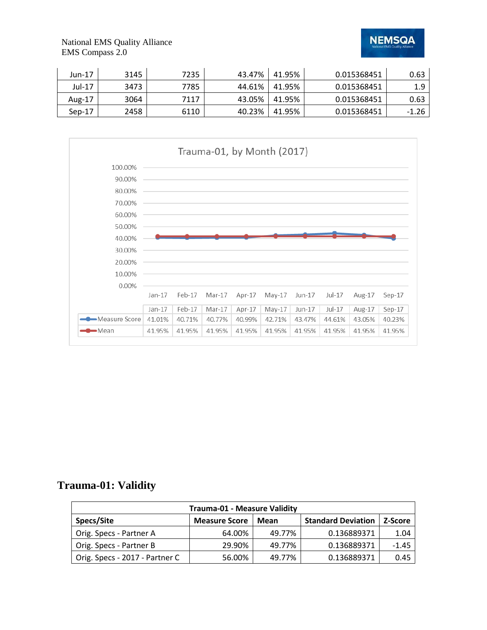**NEMSQA** 

National EMS Quality Alliance EMS Compass 2.0

| Jun-17   | 3145 | 7235 | 43.47% | 41.95% | 0.015368451 | 0.63    |
|----------|------|------|--------|--------|-------------|---------|
| Jul-17   | 3473 | 7785 | 44.61% | 41.95% | 0.015368451 | 1.9     |
| Aug-17   | 3064 | 7117 | 43.05% | 41.95% | 0.015368451 | 0.63    |
| $Sen-17$ | 2458 | 6110 | 40.23% | 41.95% | 0.015368451 | $-1.26$ |



# **Trauma-01: Validity**

| <b>Trauma-01 - Measure Validity</b>                                                |        |        |             |         |  |  |
|------------------------------------------------------------------------------------|--------|--------|-------------|---------|--|--|
| Specs/Site<br><b>Standard Deviation</b><br><b>Measure Score</b><br>Z-Score<br>Mean |        |        |             |         |  |  |
| Orig. Specs - Partner A                                                            | 64.00% | 49.77% | 0.136889371 | 1.04    |  |  |
| Orig. Specs - Partner B                                                            | 29.90% | 49.77% | 0.136889371 | $-1.45$ |  |  |
| Orig. Specs - 2017 - Partner C                                                     | 56.00% | 49.77% | 0.136889371 | 0.45    |  |  |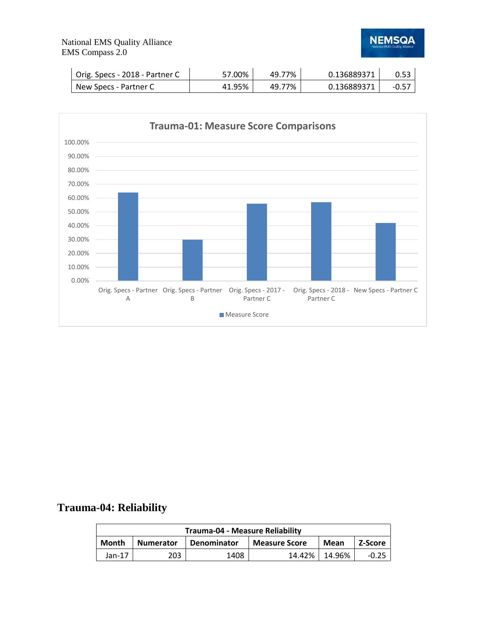#### National EMS Quality Alliance EMS Compass 2.0



| Orig. Specs - 2018 - Partner C | 57.00% | 49.77% | 0.136889371 |         |
|--------------------------------|--------|--------|-------------|---------|
| New Specs - Partner C          | 41.95% | 49.77% | 0.136889371 | $-0.57$ |



# **Trauma-04: Reliability**

| Trauma-04 - Measure Reliability                                                            |     |      |        |        |  |  |  |
|--------------------------------------------------------------------------------------------|-----|------|--------|--------|--|--|--|
| <b>Month</b><br>Denominator<br><b>Numerator</b><br>Z-Score<br><b>Measure Score</b><br>Mean |     |      |        |        |  |  |  |
| Jan-17                                                                                     | 203 | 1408 | 14.42% | 14.96% |  |  |  |